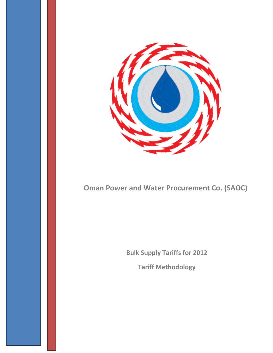

# **Oman Power and Water Procurement Co. (SAOC)**

**Bulk Supply Tariffs for 2012**

**Tariff Methodology**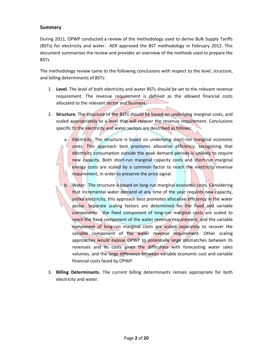#### **Summary**

During 2011, OPWP conducted a review of the methodology used to derive Bulk Supply Tariffs (BSTs) for electricity and water. AER approved the BST methodology in February 2012. This document summarises the review and provides an overview of the methods used to prepare the BSTs.

The methodology review came to the following conclusions with respect to the level, structure, and billing determinants of BSTs:

- 1. **Level.** The level of both electricity and water BSTs should be set to the relevant revenue requirement. The revenue requirement is defined as the allowed financial costs allocated to the relevant sector and business;
- 2. **Structure.** The structure of the BSTs should be based on underlying marginal costs, and scaled appropriately to a level that will recover the revenue requirement. Conclusions specific to the electricity and water sectors are described as follows:
	- a. Electricity. The structure is based on underlying short-run marginal economic costs. This approach best promotes allocative efficiency, recognising that electricity consumption outside the peak demand periods is unlikely to require new capacity. Both short-run marginal capacity costs and short-run marginal energy costs are scaled by a common factor to reach the electricity revenue requirement, in order to preserve the price signal.
	- b. Water. The structure is based on long-run marginal economic costs. Considering that incremental water demand at any time of the year requires new capacity, unlike electricity, this approach best promotes allocative efficiency in the water sector. Separate scaling factors are determined for the fixed and variable components: the fixed component of long-run marginal costs are scaled to reach the fixed component of the water revenue requirement, and the variable component of long-run marginal costs are scaled separately to recover the variable component of the water revenue requirement. Other scaling approaches would expose OPWP to potentially large mismatches between its revenues and its costs given the difficulties with forecasting water sales volumes, and the large difference between variable economic cost and variable financial costs faced by OPWP.
- 3. **Billing Determinants.** The current billing determinants remain appropriate for both electricity and water.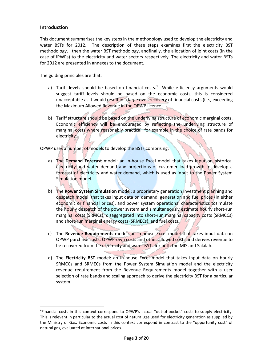#### **Introduction**

This document summarises the key steps in the methodology used to develop the electricity and water BSTs for 2012. The description of these steps examines first the electricity BST methodology, then the water BST methodology, andfinally, the allocation of joint costs (in the case of IPWPs) to the electricity and water sectors respectively. The electricity and water BSTs for 2012 are presented in annexes to the document.

The guiding principles are that:

- a) Tariff levels should be based on financial costs.<sup>[1](#page-2-0)</sup> While efficiency arguments would suggest tariff levels should be based on the economic costs, this is considered unacceptable as it would result in a large over-recovery of financial costs (i.e., exceeding the Maximum Allowed Revenue in the OPWP licence).
- b) Tariff **structure** should be based on the underlying structure of economic marginal costs. Economic efficiency will be encouraged by reflecting the underlying structure of marginal costs where reasonably practical, for example in the choice of rate bands for electricity.

OPWP uses a number of models to develop the BSTs, comprising:

÷,

- a) The **Demand Forecast** model: an in-house Excel model that takes input on historical electricity and water demand and projections of customer load growth to develop a forecast of electricity and water demand, which is used as input to the Power System Simulation model.
- b) The **Power System Simulation** model: a proprietary generation investment planning and despatch model, that takes input data on demand, generation and fuel prices (in either economic or financial prices), and power system operational characteristics tosimulate the hourly despatch of the power system and simultaneously estimate hourly short-run marginal costs (SRMCs), disaggregated into short-run marginal capacity costs (SRMCCs) and short-run marginal energy costs (SRMECs), and fuel costs.
- c) The **Revenue Requirements** model: an in-house Excel model that takes input data on OPWP purchase costs, OPWP-own costs and other allowed costs and derives revenue to be recovered from the electricity and water BSTs for both the MIS and Salalah.
- d) The **Electricity BST** model: an in-house Excel model that takes input data on hourly SRMCCs and SRMECs from the Power System Simulation model and the electricity revenue requirement from the Revenue Requirements model together with a user selection of rate bands and scaling approach to derive the electricity BST for a particular system.

<span id="page-2-0"></span> $\frac{1}{1}$ <sup>1</sup>Financial costs in this context correspond to OPWP's actual "out-of-pocket" costs to supply electricity. This is relevant in particular to the actual cost of natural gas used for electricity generation as supplied by the Ministry of Gas. Economic costs in this context correspond in contrast to the "opportunity cost" of natural gas, evaluated at international prices.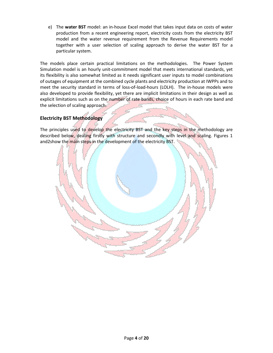e) The **water BST** model: an in-house Excel model that takes input data on costs of water production from a recent engineering report, electricity costs from the electricity BST model and the water revenue requirement from the Revenue Requirements model together with a user selection of scaling approach to derive the water BST for a particular system.

The models place certain practical limitations on the methodologies. The Power System Simulation model is an hourly unit-commitment model that meets international standards, yet its flexibility is also somewhat limited as it needs significant user inputs to model combinations of outages of equipment at the combined cycle plants and electricity production at IWPPs and to meet the security standard in terms of loss-of-load-hours (LOLH). The in-house models were also developed to provide flexibility, yet there are implicit limitations in their design as well as explicit limitations such as on the number of rate bands, choice of hours in each rate band and the selection of scaling approach.

# **Electricity BST Methodology**

The principles used to develop the electricity BST and the key steps in the methodology are described below, dealing firstly with structure and secondly with level and scaling. Figures 1 and2show the main steps in the development of the electricity BST.

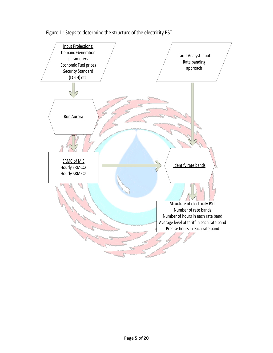

Figure 1 : Steps to determine the structure of the electricity BST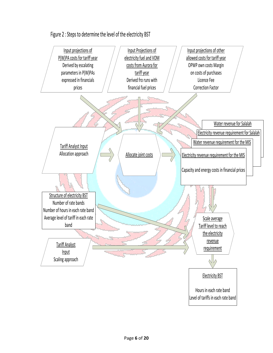

Figure 2 : Steps to determine the level of the electricity BST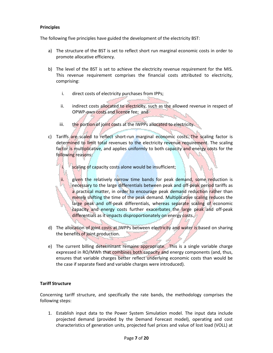#### **Principles**

The following five principles have guided the development of the electricity BST:

- a) The structure of the BST is set to reflect short run marginal economic costs in order to promote allocative efficiency.
- b) The level of the BST is set to achieve the electricity revenue requirement for the MIS. This revenue requirement comprises the financial costs attributed to electricity, comprising:
	- i. direct costs of electricity purchases from IPPs;
	- ii. indirect costs allocated to electricity, such as the allowed revenue in respect of OPWP-own costs and licence fee; and
	- iii. the portion of joint costs at the IWPPs allocated to electricity.
- c) Tariffs are scaled to reflect short-run marginal economic costs. The scaling factor is determined to limit total revenues to the electricity revenue requirement. The scaling factor is multiplicative, and applies uniformly to both capacity and energy costs for the following reasons:
	- i. scaling of capacity costs alone would be insufficient;

ii. given the relatively narrow time bands for peak demand, some reduction is necessary to the large differentials between peak and off-peak period tariffs as a practical matter, in order to encourage peak demand reduction rather than merely shifting the time of the peak demand. Multiplicative scaling reduces the large peak and off-peak differentials, whereas separate scaling of economic capacity and energy costs further exacerbates the large peak and off-peak differentials as it impacts disproportionately on energy costs.

- d) The allocation of joint costs at IWPPs between electricity and water is based on sharing the benefits of joint production.
- e) The current billing determinant remains appropriate. This is a single variable charge expressed in RO/MWh that combines both capacity and energy components (and, thus, ensures that variable charges better reflect underlying economic costs than would be the case if separate fixed and variable charges were introduced).

#### **Tariff Structure**

Concerning tariff structure, and specifically the rate bands, the methodology comprises the following steps:

1. Establish input data to the Power System Simulation model. The input data include projected demand (provided by the Demand Forecast model), operating and cost characteristics of generation units, projected fuel prices and value of lost load (VOLL) at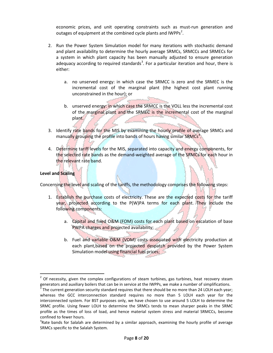economic prices, and unit operating constraints such as must-run generation and outages of equipment at the combined cycle plants and IWPPs<sup>[2](#page-7-0)</sup>.

- 2. Run the Power System Simulation model for many iterations with stochastic demand and plant availability to determine the hourly average SRMCs, SRMCCs and SRMECs for a system in which plant capacity has been manually adjusted to ensure generation adequacy according to required standards<sup>[3](#page-7-1)</sup>. For a particular iteration and hour, there is either:
	- a. no unserved energy: in which case the SRMCC is zero and the SRMEC is the incremental cost of the marginal plant (the highest cost plant running unconstrained in the hour); or
	- b. unserved energy: in which case the SRMCC is the VOLL less the incremental cost of the marginal plant and the SRMEC is the incremental cost of the marginal plant.
- 3. Identify rate bands for the MIS by examining the hourly profile of average SRMCs and manually grouping the profile into bands of hours having similar SRMCs<sup>[4](#page-7-2)</sup>.
- 4. Determine tariff levels for the MIS, separated into capacity and energy components, for the selected rate bands as the demand-weighted average of the SRMCs for each hour in the relevant rate band.

#### **Level and Scaling**

Concerning the level and scaling of the tariffs, the methodology comprises the following steps:

- 1. Establish the purchase costs of electricity. These are the expected costs for the tariff year, projected according to the P(W)PA terms for each plant. They include the following components:
	- a. Capital and fixed O&M (FOM) costs for each plant based on escalation of base PWPA charges and projected availability;
	- b. Fuel and variable O&M (VOM) costs associated with electricity production at each plant,based on the projected despatch provided by the Power System Simulation model using financial fuel prices;

<span id="page-7-0"></span> $2$  Of necessity, given the complex configurations of steam turbines, gas turbines, heat recovery steam generators and auxiliary boilers that can be in service at the IWPPs, we make a number of simplifications.

<span id="page-7-1"></span>The current generation security standard requires that there should be no more than 24 LOLH each year; whereas the GCC interconnection standard requires no more than 5 LOLH each year for the interconnected system. For BST purposes only, we have chosen to use around 5 LOLH to determine the SRMC profile. Using fewer LOLH to determine the SRMCs tends to mean sharper peaks in the SRMC profile as the times of loss of load, and hence material system stress and material SRMCCs, become confined to fewer hours.

<span id="page-7-2"></span><sup>&</sup>lt;sup>4</sup>Rate bands for Salalah are determined by a similar approach, examining the hourly profile of average SRMCs specific to the Salalah System.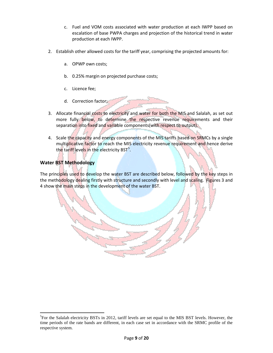- c. Fuel and VOM costs associated with water production at each IWPP based on escalation of base PWPA charges and projection of the historical trend in water production at each IWPP.
- 2. Establish other allowed costs for the tariff year, comprising the projected amounts for:
	- a. OPWP own costs;
	- b. 0.25% margin on projected purchase costs;
	- c. Licence fee;
	- d. Correction factor;
- 3. Allocate financial costs to electricity and water for both the MIS and Salalah, as set out more fully below, to determine the respective revenue requirements and their separation into fixed and variable components(with respect to output).
- 4. Scale the capacity and energy components of the MIS tariffs based on SRMCs by a single multiplicative factor to reach the MIS electricity revenue requirement and hence derive the tariff levels in the electricity BST<sup>[5](#page-8-0)</sup>.

# **Water BST Methodology**

ı

The principles used to develop the water BST are described below, followed by the key steps in the methodology dealing firstly with structure and secondly with level and scaling. Figures 3 and 4 show the main steps in the development of the water BST.

<span id="page-8-0"></span><sup>&</sup>lt;sup>5</sup>For the Salalah electricity BSTs in 2012, tariff levels are set equal to the MIS BST levels. However, the time periods of the rate bands are different, in each case set in accordance with the SRMC profile of the respective system.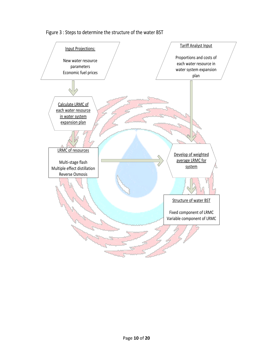

Figure 3 : Steps to determine the structure of the water BST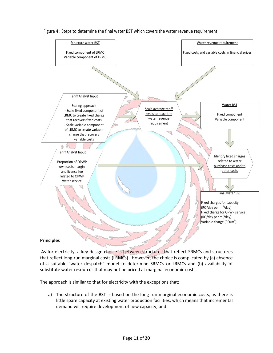

#### Figure 4 : Steps to determine the final water BST which covers the water revenue requirement

#### **Principles**

As for electricity, a key design choice is between structures that reflect SRMCs and structures that reflect long-run marginal costs (LRMCs). However, the choice is complicated by (a) absence of a suitable "water despatch" model to determine SRMCs or LRMCs and (b) availability of substitute water resources that may not be priced at marginal economic costs.

The approach is similar to that for electricity with the exceptions that:

a) The structure of the BST is based on the long run marginal economic costs, as there is little spare capacity at existing water production facilities, which means that incremental demand will require development of new capacity; and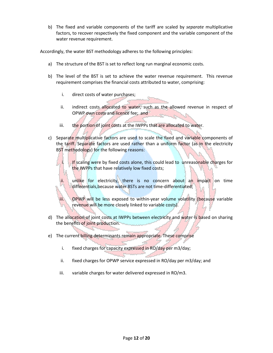b) The fixed and variable components of the tariff are scaled by *separate* multiplicative factors, to recover respectively the fixed component and the variable component of the water revenue requirement.

Accordingly, the water BST methodology adheres to the following principles:

- a) The structure of the BST is set to reflect long run marginal economic costs.
- b) The level of the BST is set to achieve the water revenue requirement. This revenue requirement comprises the financial costs attributed to water, comprising:
	- i. direct costs of water purchases;
	- ii. indirect costs allocated to water, such as the allowed revenue in respect of OPWP own costs and licence fee; and
	- iii. the portion of joint costs at the IWPPs that are allocated to water.

c) Separate multiplicative factors are used to scale the fixed and variable components of the tariff. Separate factors are used rather than a uniform factor (as in the electricity BST methodology) for the following reasons:

> If scaling were by fixed costs alone, this could lead to unreasonable charges for the IWPPs that have relatively low fixed costs;

ii. unlike for electricity, there is no concern about an impact on time differentials, because water BSTs are not time-differentiated;

iii. OPWP will be less exposed to within-year volume volatility (because variable revenue will be more closely linked to variable costs).

- d) The allocation of joint costs at IWPPs between electricity and water is based on sharing the benefits of joint production.
- e) The current billing determinants remain appropriate. These comprise
	- i. fixed charges for capacity expressed in RO/day per m3/day;
	- ii. fixed charges for OPWP service expressed in RO/day per m3/day; and
	- iii. variable charges for water delivered expressed in RO/m3.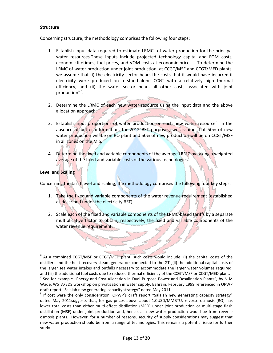#### **Structure**

Concerning structure, the methodology comprises the following four steps:

- 1. Establish input data required to estimate LRMCs of water production for the principal water resources.These inputs include projected technology capital and FOM costs, economic lifetimes, fuel prices, and VOM costs at economic prices. To determine the LRMC of water production under joint production at CCGT/MSF and CCGT/MED plants, we assume that (i) the electricity sector bears the costs that it would have incurred if electricity were produced on a stand-alone CCGT with a relatively high thermal efficiency, and (ii) the water sector bears all other costs associated with joint production<sup>[6](#page-12-0)[7](#page-12-1)</sup>.
- 2. Determine the LRMC of each new water resource using the input data and the above allocation approach.
- 3. Establish input proportions of water production on each new water resource<sup>[8](#page-12-2)</sup>. In the absence of better information, for 2012 BST purposes, we assume that 50% of new water production will be on RO plant and 50% of new production will be on CCGT/MSF in all zones on the MIS.
- 4. Determine the fixed and variable components of the average LRMC by taking a weighted average of the fixed and variable costs of the various technologies.

#### **Level and Scaling**

Concerning the tariff level and scaling, the methodology comprises the following four key steps:

- 1. Take the fixed and variable components of the water revenue requirement (established as described under the electricity BST).
- 2. Scale each of the fixed and variable components of the LRMC-based tariffs by a separate multiplicative factor to obtain, respectively, the fixed and variable components of the water revenue requirement.

<span id="page-12-0"></span> $6$  At a combined CCGT/MSF or CCGT/MED plant, such costs would include: (i) the capital costs of the distillers and the heat recovery steam generators connected to the GTs,(ii) the additional capital costs of the larger sea water intakes and outfalls necessary to accommodate the larger water volumes required, and (iii) the additional fuel costs due to reduced thermal efficiency of the CCGT/MSF or CCGT/MED plant.

<span id="page-12-1"></span><sup>&</sup>lt;sup>7</sup> See for example "Energy and Cost Allocation in Dual Purpose Power and Desalination Plants", by N M Wade, WSTA/EDS workshop on privatization in water supply, Bahrain, February 1999 referenced in OPWP draft report "Salalah new generating capacity strategy" dated May 2011.

<span id="page-12-2"></span><sup>&</sup>lt;sup>8</sup> If cost were the only consideration, OPWP's draft report "Salalah new generating capacity strategy" dated May 2011suggests that, for gas prices above about 1.0USD/MMBTU, reverse osmosis (RO) has lower total costs than either multi-effect distillation (MED) under joint production or multi-stage flash distillation (MSF) under joint production and, hence, all new water production would be from reverse osmosis plants. However, for a number of reasons, security of supply considerations may suggest that new water production should be from a range of technologies. This remains a potential issue for further study.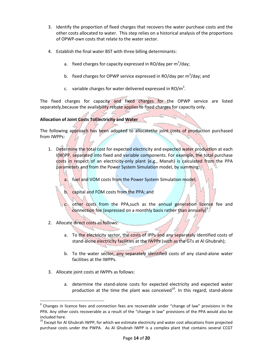- 3. Identify the proportion of fixed charges that recovers the water purchase costs and the other costs allocated to water. This step relies on a historical analysis of the proportions of OPWP-own costs that relate to the water sector.
- 4. Establish the final water BST with three billing determinants:
	- a. fixed charges for capacity expressed in RO/day per  $m^3$ /day;
	- b. fixed charges for OPWP service expressed in RO/day per  $m^3$ /day; and
	- c. variable charges for water delivered expressed in RO/m<sup>3</sup>.

The fixed charges for capacity and fixed charges for the OPWP service are listed separately, because the availability rebate applies to fixed charges for capacity only.

#### **Allocation of Joint Costs ToElectricity and Water**

The following approach has been adopted to allocatethe joint costs of production purchased from IWPPs:

- 1. Determine the total cost for expected electricity and expected water production at each I(W)PP, separated into fixed and variable components. For example, the total purchase costs in respect of an electricity-only plant (e.g., Manah) is calculated from the PPA parameters and from the Power System Simulation model, by summing:
	- a. fuel and VOM costs from the Power System Simulation model;
	- capital and FOM costs from the PPA; and

other costs from the PPA, such as the annual generation licence fee and connection fee (expressed on a monthly basis rather than annually)<sup>[9](#page-13-0)</sup>.

- 2. Allocate direct costs as follows:
	- a. To the electricity sector, the costs of IPPs and any separately identified costs of stand-alone electricity facilities at the IWPPs (such as the GTs at Al Ghubrah);
	- b. To the water sector, any separately identified costs of any stand-alone water facilities at the IWPPs.
- 3. Allocate joint costs at IWPPs as follows:
	- a. determine the stand-alone costs for expected electricity and expected water production at the time the plant was conceived $^{10}$  $^{10}$  $^{10}$ . In this regard, stand-alone

<span id="page-13-0"></span> $9$  Changes in licence fees and connection fees are recoverable under "change of law" provisions in the PPA. Any other costs recoverable as a result of the "change in law" provisions of the PPA would also be included here.

<span id="page-13-1"></span> $10$  Except for Al Ghubrah IWPP, for which we estimate electricity and water cost allocations from projected purchase costs under the PWPA. As Al Ghubrah IWPP is a complex plant that contains several CCGT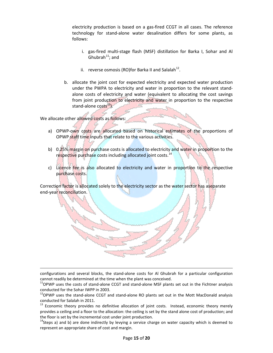electricity production is based on a gas-fired CCGT in all cases. The reference technology for stand-alone water desalination differs for some plants, as follows:

- i. gas-fired multi-stage flash (MSF) distillation for Barka I, Sohar and Al Ghubrah $^{11}$  $^{11}$  $^{11}$ ; and
- ii. reverse osmosis (RO)for Barka II and Salalah<sup>[12](#page-14-1)</sup>.
- b. allocate the joint cost for expected electricity and expected water production under the PWPA to electricity and water in proportion to the relevant standalone costs of electricity and water (equivalent to allocating the cost savings from joint production to electricity and water in proportion to the respective stand-alone costs<sup>[13](#page-14-2)</sup>).

We allocate other allowed costs as follows:

ı

- a) OPWP-own costs are allocated based on historical estimates of the proportions of OPWP staff time inputs that relate to the various activities.
- b) 0.25% margin on purchase costs is allocated to electricity and water in proportion to the respective purchase costs including allocated joint costs.<sup>[14](#page-14-3)</sup>
- c) Licence fee is also allocated to electricity and water in proportion to the respective purchase costs.

Correction factor is allocated solely to the electricity sector as the water sector has aseparate end-year reconciliation.

configurations and several blocks, the stand-alone costs for Al Ghubrah for a particular configuration cannot readily be determined at the time when the plant was conceived.

<span id="page-14-0"></span><sup>11</sup>OPWP uses the costs of stand-alone CCGT and stand-alone MSF plants set out in the Fichtner analysis conducted for the Sohar IWPP in 2003.

<span id="page-14-1"></span> $12$ OPWP uses the stand-alone CCGT and stand-alone RO plants set out in the Mott MacDonald analysis conducted for Salalah in 2011.

<span id="page-14-2"></span>Economic theory provides no definitive allocation of joint costs. Instead, economic theory merely provides a ceiling and a floor to the allocation: the ceiling is set by the stand alone cost of production; and the floor is set by the incremental cost under joint production.

<span id="page-14-3"></span> $14$ Steps a) and b) are done indirectly by levying a service charge on water capacity which is deemed to represent an appropriate share of cost and margin.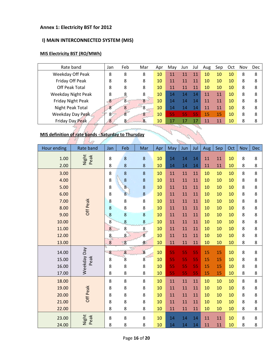#### **Annex 1: Electricity BST for 2012**

# **I) MAIN INTERCONNECTED SYSTEM (MIS)**

### **MIS Electricity BST (RO/MWh)**

| Rate band                 | Jan                                                 | Feb | Mar | Apr | May | Jun | Jul | Aug | Sep | Oct | Nov | <b>Dec</b> |
|---------------------------|-----------------------------------------------------|-----|-----|-----|-----|-----|-----|-----|-----|-----|-----|------------|
| Weekday Off Peak          | 8                                                   | 8   | 8   | 10  | 11  | 11  | 11  | 10  | 10  | 10  | 8   | 8          |
| Friday Off Peak           | 8                                                   | 8   | 8   | 10  | 11  | 11  | 11  | 10  | 10  | 10  | 8   | 8          |
| Off Peak Total            | 8                                                   | 8   | 8   | 10  | 11  | 11  | 11  | 10  | 10  | 10  | 8   | 8          |
| <b>Weekday Night Peak</b> | 8                                                   | 8   | 8   | 10  | 14  | 14  | 14  | 11  | 11  | 10  | 8   | 8          |
| Friday Night Peak         | 8                                                   | 8   | 8   | 10  | 14  | 14  | 14  | 11  | 11  | 10  | 8   | 8          |
| Night Peak Total          | 8                                                   | 8   | 8   | 10  | 14  | 14  | 14  | 11  | 11  | 10  | 8   | 8          |
| Weekday Day Peak          | 8                                                   | 8   | 8   | 10  | 55  | 55  | 55  | 15  | 15  | 10  | 8   | 8          |
| Friday Day Peak           | 8                                                   | 8   | 8   | 10  | 17  | 17  | 17  | 11  | 11  | 10  | 8   | 8          |
|                           |                                                     |     |     |     |     |     |     |     |     |     |     |            |
|                           | MIS definition of rate bands - Saturday to Thursday |     |     |     |     |     |     |     |     |     |     |            |

a.

# **MIS definition of rate bands - Saturday to Thursday** ÷.

| <b>Hour ending</b> | <b>Rate band</b> | Jan     | Feb              | Mar            | Apr | May | Jun | Jul | Aug | Sep | Oct | Nov | <b>Dec</b> |
|--------------------|------------------|---------|------------------|----------------|-----|-----|-----|-----|-----|-----|-----|-----|------------|
| 1.00               | Night<br>Peak    | $\bf 8$ | $\bf 8$          | 8              | 10  | 14  | 14  | 14  | 11  | 11  | 10  | 8   | 8          |
| 2.00               |                  | 8       | 8                | $\bf 8$        | 10  | 14  | 14  | 14  | 11  | 11  | 10  | 8   | $\bf 8$    |
| 3.00               |                  | 8       | 8                | 8              | 10  | 11  | 11  | 11  | 10  | 10  | 10  | 8   | 8          |
| 4.00               |                  | 8       | $\boldsymbol{8}$ | 8              | 10  | 11  | 11  | 11  | 10  | 10  | 10  | 8   | 8          |
| 5.00               |                  | 8       | $\overline{8}$   | 8              | 10  | 11  | 11  | 11  | 10  | 10  | 10  | 8   | 8          |
| 6.00               |                  | 8       | 8                | 8              | 10  | 11  | 11  | 11  | 10  | 10  | 10  | 8   | 8          |
| 7.00               |                  | 8       | 8                | 8              | 10  | 11  | 11  | 11  | 10  | 10  | 10  | 8   | 8          |
| 8.00               | Off Peak         | 8       | 8                | 8              | 10  | 11  | 11  | 11  | 10  | 10  | 10  | 8   | 8          |
| 9.00               |                  | 8       | 8                | 8              | 10  | 11  | 11  | 11  | 10  | 10  | 10  | 8   | 8          |
| 10.00              |                  | 8       | 8                | 8              | 10  | 11  | 11  | 11  | 10  | 10  | 10  | 8   | 8          |
| 11.00              |                  | 8       | 8                | 8              | 10  | 11  | 11  | 11  | 10  | 10  | 10  | 8   | 8          |
| 12.00              |                  | 8       | 8                | $\overline{8}$ | 10  | 11  | 11  | 11  | 10  | 10  | 10  | 8   | 8          |
| 13.00              |                  | $\bf 8$ | 8                | 8              | 10  | 11  | 11  | 11  | 10  | 10  | 10  | 8   | 8          |
| 14.00              | Weekday Day      | 8       | 8                | 8              | 10  | 55  | 55  | 55  | 15  | 15  | 10  | 8   | 8          |
| 15.00              | Peak             | 8       | $\overline{8}$   | 8              | 10  | 55  | 55  | 55  | 15  | 15  | 10  | 8   | 8          |
| 16.00              |                  | 8       | 8                | 8              | 10  | 55  | 55  | 55  | 15  | 15  | 10  | 8   | 8          |
| 17.00              |                  | 8       | 8                | 8              | 10  | 55  | 55  | 55  | 15  | 15  | 10  | 8   | 8          |
| 18.00              |                  | 8       | 8                | 8              | 10  | 11  | 11  | 11  | 10  | 10  | 10  | 8   | 8          |
| 19.00              |                  | 8       | 8                | 8              | 10  | 11  | 11  | 11  | 10  | 10  | 10  | 8   | 8          |
| 20.00              | Off Peak         | 8       | 8                | 8              | 10  | 11  | 11  | 11  | 10  | 10  | 10  | 8   | 8          |
| 21.00              |                  | 8       | 8                | 8              | 10  | 11  | 11  | 11  | 10  | 10  | 10  | 8   | 8          |
| 22.00              |                  | 8       | 8                | 8              | 10  | 11  | 11  | 11  | 10  | 10  | 10  | 8   | 8          |
|                    |                  |         |                  |                |     |     |     |     |     |     |     |     |            |
| 23.00              | Night<br>Peak    | 8       | 8                | 8              | 10  | 14  | 14  | 14  | 11  | 11  | 10  | 8   | 8          |
| 24.00              |                  | 8       | 8                | 8              | 10  | 14  | 14  | 14  | 11  | 11  | 10  | 8   | 8          |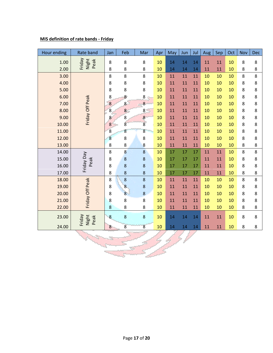# **MIS definition of rate bands - Friday**

| Hour ending | Rate band               | Jan              | Feb              | Mar            | Apr | May    | Jun | Jul | Aug | Sep | Oct | Nov | <b>Dec</b> |
|-------------|-------------------------|------------------|------------------|----------------|-----|--------|-----|-----|-----|-----|-----|-----|------------|
| 1.00        | Night<br>Peak<br>Friday | 8                | 8                | 8              | 10  | 14     | 14  | 14  | 11  | 11  | 10  | 8   | 8          |
| 2.00        |                         | 8                | 8                | 8              | 10  | 14     | 14  | 14  | 11  | 11  | 10  | 8   | $\bf 8$    |
| 3.00        |                         | 8                | 8                | 8              | 10  | 11     | 11  | 11  | 10  | 10  | 10  | 8   | 8          |
| 4.00        |                         | 8                | 8                | 8              | 10  | 11     | 11  | 11  | 10  | 10  | 10  | 8   | 8          |
| 5.00        |                         | 8                | 8                | 8              | 10  | 11     | 11  | 11  | 10  | 10  | 10  | 8   | 8          |
| 6.00        |                         | 8                | 8                | 8              | 10  | 11     | 11  | 11  | 10  | 10  | 10  | 8   | $\bf 8$    |
| 7.00        |                         | 8                | 8                | 8              | 10  | $11\,$ | 11  | 11  | 10  | 10  | 10  | 8   | $\bf 8$    |
| 8.00        | Friday Off Peak         | $\overline{8}$   | $\bf{8}$         | 8              | 10  | 11     | 11  | 11  | 10  | 10  | 10  | 8   | 8          |
| 9.00        |                         | 8                | $\bf 8$          | 8              | 10  | $11\,$ | 11  | 11  | 10  | 10  | 10  | 8   | 8          |
| 10.00       |                         | 8                | $\boldsymbol{8}$ | $\overline{8}$ | 10  | 11     | 11  | 11  | 10  | 10  | 10  | 8   | 8          |
| 11.00       |                         | $\overline{8}$   | 8                | 8              | 10  | $11\,$ | 11  | 11  | 10  | 10  | 10  | 8   | $\bf 8$    |
| 12.00       |                         | 8                | 8                | 8              | 10  | 11     | 11  | 11  | 10  | 10  | 10  | 8   | 8          |
| 13.00       |                         | 8                | 8                | 8              | 10  | 11     | 11  | 11  | 10  | 10  | 10  | 8   | 8          |
| 14.00       |                         | 8                | 8                | $\bf 8$        | 10  | 17     | 17  | 17  | 11  | 11  | 10  | 8   | 8          |
| 15.00       | Peak                    | 8                | $\bf 8$          | $\bf 8$        | 10  | 17     | 17  | 17  | 11  | 11  | 10  | 8   | $\bf 8$    |
| 16.00       | Friday Day              | 8                | 8                | 8              | 10  | 17     | 17  | 17  | 11  | 11  | 10  | 8   | 8          |
| 17.00       |                         | 8                | 8                | 8              | 10  | 17     | 17  | 17  | 11  | 11  | 10  | 8   | 8          |
| 18.00       |                         | 8                | 8                | 8              | 10  | 11     | 11  | 11  | 10  | 10  | 10  | 8   | 8          |
| 19.00       |                         | 8                | 8                | 8              | 10  | 11     | 11  | 11  | 10  | 10  | 10  | 8   | $\bf 8$    |
| 20.00       |                         | 8                | 8                | 8              | 10  | 11     | 11  | 11  | 10  | 10  | 10  | 8   | 8          |
| 21.00       | Friday Off Peak         | 8                | 8                | 8              | 10  | 11     | 11  | 11  | 10  | 10  | 10  | 8   | 8          |
| 22.00       |                         | 8                | 8                | 8              | 10  | 11     | 11  | 11  | 10  | 10  | 10  | 8   | 8          |
| 23.00       | Friday<br>Night<br>Peak | 8                | 8                | $\bf 8$        | 10  | 14     | 14  | 14  | 11  | 11  | 10  | 8   | 8          |
| 24.00       |                         | $\boldsymbol{8}$ | $\overline{8}$   | $\overline{8}$ | 10  | 14     | 14  | 14  | 11  | 11  | 10  | 8   | 8          |
|             |                         |                  |                  |                |     |        |     |     |     |     |     |     |            |
|             |                         |                  |                  |                |     |        |     |     |     |     |     |     |            |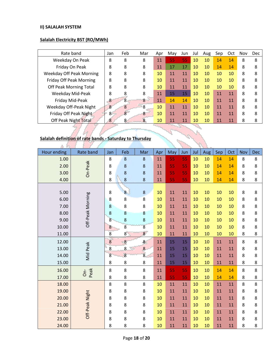#### **II) SALALAH SYSTEM**

# **Salalah Electricity BST (RO/MWh)**

| Rate band                       | Jan | Feb            | Mar | Apr | May | Jun | Jul | Aug | Sep | Oct | Nov | <b>Dec</b> |
|---------------------------------|-----|----------------|-----|-----|-----|-----|-----|-----|-----|-----|-----|------------|
| Weekday On Peak                 | 8   | 8              | 8   | 11  | 55  | 55  | 10  | 10  | 14  | 14  | 8   | 8          |
| Friday On Peak                  | 8   | 8              | 8   | 11  | 17  | 17  | 10  | 10  | 14  | 14  | 8   | 8          |
| <b>Weekday Off Peak Morning</b> | 8   | 8              | 8   | 10  | 11  | 11  | 10  | 10  | 10  | 10  | 8   | 8          |
| <b>Friday Off Peak Morning</b>  | 8   | 8              | 8   | 10  | 11  | 11  | 10  | 10  | 10  | 10  | 8   | 8          |
| Off Peak Morning Total          | 8   | 8              | 8   | 10  | 11  | 11  | 10  | 10  | 10  | 10  | 8   | 8          |
| Weekday Mid-Peak                | 8   | 8              | 8   | 11  | 15  | 15  | 10  | 10  | 11  | 11  | 8   | 8          |
| Friday Mid-Peak                 | 8   | 8              | 8   | 11  | 14  | 14  | 10  | 10  | 11  | 11  | 8   | 8          |
| Weekday Off-Peak Night          | 8   | 8              | 8   | 10  | 11  | 11  | 10  | 10  | 11  | 11  | 8   | 8          |
| Friday Off Peak Night           | 8   | 8 <sup>2</sup> | 8   | 10  | 11  | 11  | 10  | 10  | 11  | 11  | 8   | 8          |
| <b>Off Peak Night Total</b>     | 8   | 8              | 8   | 10  | 11  | 11  | 10  | 10  | 11  | 11  | 8   | 8          |

# **Salalah definition of rate bands - Saturday to Thursday**

| Hour ending | Rate band              | Jan            | Feb            | Mar              | Apr | May | Jun | Jul | Aug | Sep | Oct | Nov | <b>Dec</b> |
|-------------|------------------------|----------------|----------------|------------------|-----|-----|-----|-----|-----|-----|-----|-----|------------|
| 1.00        |                        | 8              | 8              | 8                | 11  | 55  | 55  | 10  | 10  | 14  | 14  | 8   | 8          |
| 2.00        |                        | 8              | 8              | 8                | 11  | 55  | 55  | 10  | 10  | 14  | 14  | 8   | 8          |
| 3.00        | On-Peak                | 8              | 8              | 8                | 11  | 55  | 55  | 10  | 10  | 14  | 14  | 8   | 8          |
| 4.00        |                        | 8              | $\bf 8$        | $\bf 8$          | 11  | 55  | 55  | 10  | 10  | 14  | 14  | 8   | 8          |
|             |                        |                |                |                  |     |     |     |     |     |     |     |     |            |
| 5.00        |                        | $\bf 8$        | $\bf{8}$       | $\bf 8$          | 10  | 11  | 11  | 10  | 10  | 10  | 10  | 8   | 8          |
| 6.00        |                        | 8              | 8              | $\boldsymbol{8}$ | 10  | 11  | 11  | 10  | 10  | 10  | 10  | 8   | 8          |
| 7.00        |                        | 8              | 8              | 8                | 10  | 11  | 11  | 10  | 10  | 10  | 10  | 8   | 8          |
| 8.00        | Off-Peak Morning       | $\bf 8$        | 8              | $\boldsymbol{8}$ | 10  | 11  | 11  | 10  | 10  | 10  | 10  | 8   | 8          |
| 9.00        |                        | 8              | 8              | 8                | 10  | 11  | 11  | 10  | 10  | 10  | 10  | 8   | 8          |
| 10.00       |                        | 8              | 8              | $\overline{8}$   | 10  | 11  | 11  | 10  | 10  | 10  | 10  | 8   | 8          |
| 11.00       |                        | 8              | 8 <sup>°</sup> | 8                | 10  | 11  | 11  | 10  | 10  | 10  | 10  | 8   | 8          |
| 12.00       |                        | $\bf 8$        | 8              | 8                | 11  | 15  | 15  | 10  | 10  | 11  | 11  | 8   | 8          |
| 13.00       |                        | 8              | 8              | 8                | 11  | 15  | 15  | 10  | 10  | 11  | 11  | 8   | 8          |
| 14.00       | Mid Peak               | $\overline{8}$ | $\overline{8}$ | $\overline{8}$   | 11  | 15  | 15  | 10  | 10  | 11  | 11  | 8   | 8          |
| 15.00       |                        | 8              | 8              | 8                | 11  | 15  | 15  | 10  | 10  | 11  | 11  | 8   | 8          |
| 16.00       | Peak<br>$\overline{6}$ | $\bf 8$        | 8              | 8                | 11  | 55  | 55  | 10  | 10  | 14  | 14  | 8   | 8          |
| 17.00       |                        | 8              | 8              | 8                | 11  | 55  | 55  | 10  | 10  | 14  | 14  | 8   | 8          |
| 18.00       |                        | 8              | 8              | 8                | 10  | 11  | 11  | 10  | 10  | 11  | 11  | 8   | 8          |
| 19.00       |                        | 8              | 8              | 8                | 10  | 11  | 11  | 10  | 10  | 11  | 11  | 8   | 8          |
| 20.00       |                        | 8              | 8              | 8                | 10  | 11  | 11  | 10  | 10  | 11  | 11  | 8   | 8          |
| 21.00       | Off-Peak Night         | 8              | 8              | 8                | 10  | 11  | 11  | 10  | 10  | 11  | 11  | 8   | 8          |
| 22.00       |                        | 8              | 8              | 8                | 10  | 11  | 11  | 10  | 10  | 11  | 11  | 8   | 8          |
| 23.00       |                        | 8              | 8              | 8                | 10  | 11  | 11  | 10  | 10  | 11  | 11  | 8   | 8          |
| 24.00       |                        | 8              | 8              | 8                | 10  | 11  | 11  | 10  | 10  | 11  | 11  | 8   | 8          |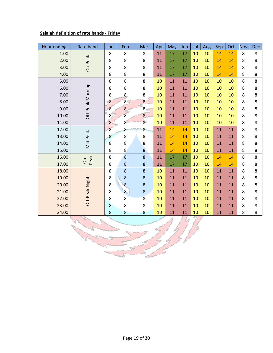# **Salalah definition of rate bands - Friday**

| Hour ending | Rate band              | Jan              | Feb              | Mar              | Apr | May | Jun | Jul | Aug | Sep | Oct | Nov | <b>Dec</b> |
|-------------|------------------------|------------------|------------------|------------------|-----|-----|-----|-----|-----|-----|-----|-----|------------|
| 1.00        |                        | 8                | 8                | 8                | 11  | 17  | 17  | 10  | 10  | 14  | 14  | 8   | 8          |
| 2.00        | On-Peak                | 8                | 8                | 8                | 11  | 17  | 17  | 10  | 10  | 14  | 14  | 8   | 8          |
| 3.00        |                        | 8                | 8                | 8                | 11  | 17  | 17  | 10  | 10  | 14  | 14  | 8   | 8          |
| 4.00        |                        | 8                | 8                | 8                | 11  | 17  | 17  | 10  | 10  | 14  | 14  | 8   | 8          |
| 5.00        |                        | 8                | 8                | 8                | 10  | 11  | 11  | 10  | 10  | 10  | 10  | 8   | 8          |
| 6.00        |                        | 8                | 8                | 8                | 10  | 11  | 11  | 10  | 10  | 10  | 10  | 8   | 8          |
| 7.00        |                        | 8                | 8                | 8                | 10  | 11  | 11  | 10  | 10  | 10  | 10  | 8   | 8          |
| 8.00        |                        | 8                | $\overline{8}$   | 8                | 10  | 11  | 11  | 10  | 10  | 10  | 10  | 8   | 8          |
| 9.00        | Off-Peak Morning       | $\overline{8}$   | $\boldsymbol{8}$ | 8                | 10  | 11  | 11  | 10  | 10  | 10  | 10  | 8   | 8          |
| 10.00       |                        | 8                | $\overline{8}$   | $\boldsymbol{8}$ | 10  | 11  | 11  | 10  | 10  | 10  | 10  | 8   | 8          |
| 11.00       |                        | 8                | 8                | $\overline{8}$   | 10  | 11  | 11  | 10  | 10  | 10  | 10  | 8   | $\bf 8$    |
| 12.00       |                        | $\boldsymbol{8}$ | 8                | 8                | 11  | 14  | 14  | 10  | 10  | 11  | 11  | 8   | 8          |
| 13.00       | Mid Peak               | 8                | 8                | 8                | 11  | 14  | 14  | 10  | 10  | 11  | 11  | 8   | 8          |
| 14.00       |                        | $\boldsymbol{8}$ | 8                | 8                | 11  | 14  | 14  | 10  | 10  | 11  | 11  | 8   | 8          |
| 15.00       |                        | 8                | 8                | 8                | 11  | 14  | 14  | 10  | 10  | 11  | 11  | 8   | 8          |
| 16.00       | Peak<br>$\overline{6}$ | $\bf 8$          | 8                | 8                | 11  | 17  | 17  | 10  | 10  | 14  | 14  | 8   | 8          |
| 17.00       |                        | 8                | 8                | $\bf 8$          | 11  | 17  | 17  | 10  | 10  | 14  | 14  | 8   | 8          |
| 18.00       |                        | 8                | 8                | $\bf 8$          | 10  | 11  | 11  | 10  | 10  | 11  | 11  | 8   | 8          |
| 19.00       |                        | 8                | 8                | 8                | 10  | 11  | 11  | 10  | 10  | 11  | 11  | 8   | 8          |
| 20.00       |                        | 8                | 8                | $\bf 8$          | 10  | 11  | 11  | 10  | 10  | 11  | 11  | 8   | 8          |
| 21.00       | Off-Peak Night         | 8                | 8                | 8                | 10  | 11  | 11  | 10  | 10  | 11  | 11  | 8   | 8          |
| 22.00       |                        | 8                | 8                | $\overline{8}$   | 10  | 11  | 11  | 10  | 10  | 11  | 11  | 8   | 8          |
| 23.00       |                        | 8                | 8                | 8                | 10  | 11  | 11  | 10  | 10  | 11  | 11  | 8   | 8          |
| 24.00       |                        | 8                | 8                | 8                | 10  | 11  | 11  | 10  | 10  | 11  | 11  | 8   | 8          |